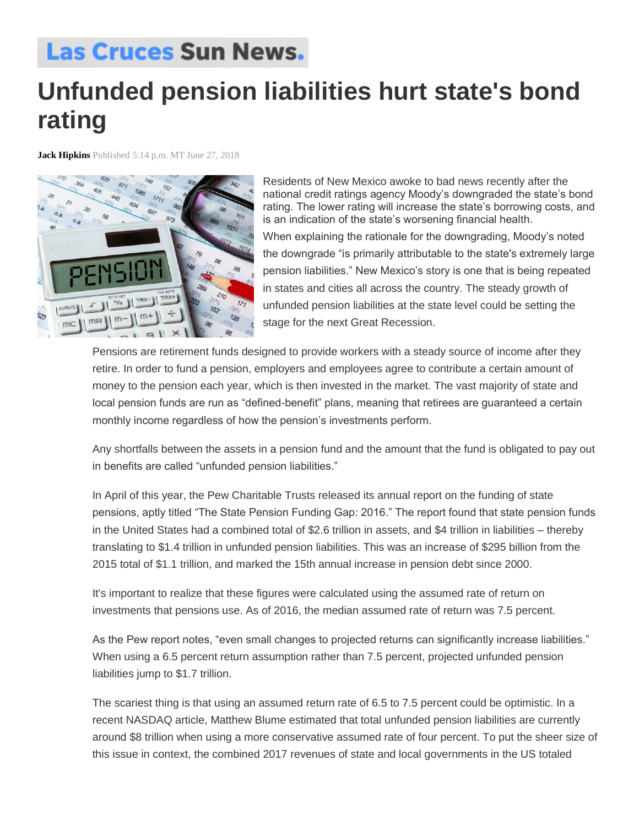## **Las Cruces Sun News.**

## **Unfunded pension liabilities hurt state's bond rating**

**Jack Hipkins** Published 5:14 p.m. MT June 27, 2018



Residents of New Mexico awoke to bad news recently after the national credit ratings agency Moody's downgraded the state's bond rating. The lower rating will increase the state's borrowing costs, and is an indication of the state's worsening financial health.

When explaining the rationale for the downgrading, Moody's noted the downgrade "is primarily attributable to the state's extremely large pension liabilities." New Mexico's story is one that is being repeated in states and cities all across the country. The steady growth of unfunded pension liabilities at the state level could be setting the stage for the next Great Recession.

Pensions are retirement funds designed to provide workers with a steady source of income after they retire. In order to fund a pension, employers and employees agree to contribute a certain amount of money to the pension each year, which is then invested in the market. The vast majority of state and local pension funds are run as "defined-benefit" plans, meaning that retirees are guaranteed a certain monthly income regardless of how the pension's investments perform.

Any shortfalls between the assets in a pension fund and the amount that the fund is obligated to pay out in benefits are called "unfunded pension liabilities."

In April of this year, the Pew Charitable Trusts released its annual report on the funding of state pensions, aptly titled "The State Pension Funding Gap: 2016." The report found that state pension funds in the United States had a combined total of \$2.6 trillion in assets, and \$4 trillion in liabilities – thereby translating to \$1.4 trillion in unfunded pension liabilities. This was an increase of \$295 billion from the 2015 total of \$1.1 trillion, and marked the 15th annual increase in pension debt since 2000.

It's important to realize that these figures were calculated using the assumed rate of return on investments that pensions use. As of 2016, the median assumed rate of return was 7.5 percent.

As the Pew report notes, "even small changes to projected returns can significantly increase liabilities." When using a 6.5 percent return assumption rather than 7.5 percent, projected unfunded pension liabilities jump to \$1.7 trillion.

The scariest thing is that using an assumed return rate of 6.5 to 7.5 percent could be optimistic. In a recent NASDAQ article, Matthew Blume estimated that total unfunded pension liabilities are currently around \$8 trillion when using a more conservative assumed rate of four percent. To put the sheer size of this issue in context, the combined 2017 revenues of state and local governments in the US totaled